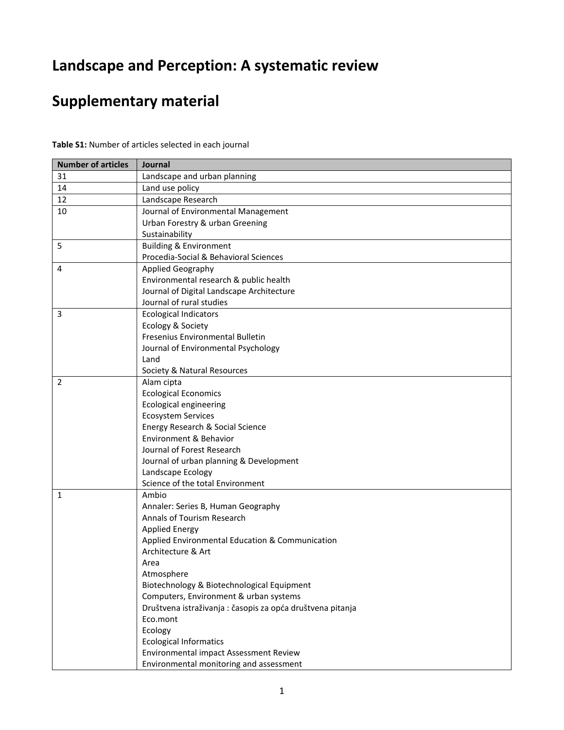## **Landscape and Perception: A systematic review**

## **Supplementary material**

| <b>Number of articles</b> | Journal                                                   |  |
|---------------------------|-----------------------------------------------------------|--|
| 31                        | Landscape and urban planning                              |  |
| 14                        | Land use policy                                           |  |
| 12                        | Landscape Research                                        |  |
| 10                        | Journal of Environmental Management                       |  |
|                           | Urban Forestry & urban Greening                           |  |
|                           | Sustainability                                            |  |
| 5                         | <b>Building &amp; Environment</b>                         |  |
|                           | Procedia-Social & Behavioral Sciences                     |  |
| 4                         | Applied Geography                                         |  |
|                           | Environmental research & public health                    |  |
|                           | Journal of Digital Landscape Architecture                 |  |
|                           | Journal of rural studies                                  |  |
| 3                         | <b>Ecological Indicators</b>                              |  |
|                           | Ecology & Society                                         |  |
|                           | Fresenius Environmental Bulletin                          |  |
|                           | Journal of Environmental Psychology                       |  |
|                           | Land                                                      |  |
|                           | Society & Natural Resources                               |  |
| 2                         | Alam cipta                                                |  |
|                           | <b>Ecological Economics</b>                               |  |
|                           | Ecological engineering                                    |  |
|                           | <b>Ecosystem Services</b>                                 |  |
|                           | Energy Research & Social Science                          |  |
|                           | Environment & Behavior                                    |  |
|                           | Journal of Forest Research                                |  |
|                           | Journal of urban planning & Development                   |  |
|                           | Landscape Ecology                                         |  |
|                           | Science of the total Environment                          |  |
| 1                         | Ambio                                                     |  |
|                           | Annaler: Series B, Human Geography                        |  |
|                           | Annals of Tourism Research                                |  |
|                           | <b>Applied Energy</b>                                     |  |
|                           | Applied Environmental Education & Communication           |  |
|                           | Architecture & Art                                        |  |
|                           | Area                                                      |  |
|                           | Atmosphere                                                |  |
|                           | Biotechnology & Biotechnological Equipment                |  |
|                           | Computers, Environment & urban systems                    |  |
|                           | Društvena istraživanja: časopis za opća društvena pitanja |  |
|                           | Eco.mont                                                  |  |
|                           | Ecology                                                   |  |
|                           | <b>Ecological Informatics</b>                             |  |
|                           | Environmental impact Assessment Review                    |  |
|                           | Environmental monitoring and assessment                   |  |

**Table S1:** Number of articles selected in each journal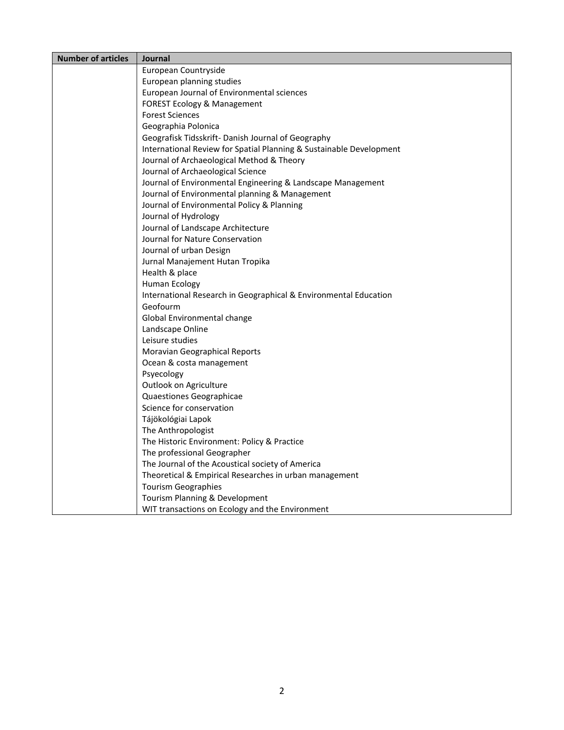| <b>Number of articles</b> | Journal                                                             |  |  |
|---------------------------|---------------------------------------------------------------------|--|--|
|                           | European Countryside                                                |  |  |
|                           | European planning studies                                           |  |  |
|                           | European Journal of Environmental sciences                          |  |  |
|                           | FOREST Ecology & Management                                         |  |  |
|                           | <b>Forest Sciences</b>                                              |  |  |
|                           | Geographia Polonica                                                 |  |  |
|                           | Geografisk Tidsskrift- Danish Journal of Geography                  |  |  |
|                           | International Review for Spatial Planning & Sustainable Development |  |  |
|                           | Journal of Archaeological Method & Theory                           |  |  |
|                           | Journal of Archaeological Science                                   |  |  |
|                           | Journal of Environmental Engineering & Landscape Management         |  |  |
|                           | Journal of Environmental planning & Management                      |  |  |
|                           | Journal of Environmental Policy & Planning                          |  |  |
|                           | Journal of Hydrology                                                |  |  |
|                           | Journal of Landscape Architecture                                   |  |  |
|                           | Journal for Nature Conservation                                     |  |  |
|                           | Journal of urban Design                                             |  |  |
|                           | Jurnal Manajement Hutan Tropika                                     |  |  |
|                           | Health & place                                                      |  |  |
|                           | Human Ecology                                                       |  |  |
|                           | International Research in Geographical & Environmental Education    |  |  |
|                           | Geofourm                                                            |  |  |
|                           | Global Environmental change                                         |  |  |
|                           | Landscape Online                                                    |  |  |
|                           | Leisure studies                                                     |  |  |
|                           | Moravian Geographical Reports                                       |  |  |
|                           | Ocean & costa management                                            |  |  |
|                           | Psyecology                                                          |  |  |
|                           | Outlook on Agriculture                                              |  |  |
|                           | Quaestiones Geographicae                                            |  |  |
|                           | Science for conservation                                            |  |  |
|                           | Tájökológiai Lapok                                                  |  |  |
|                           | The Anthropologist                                                  |  |  |
|                           | The Historic Environment: Policy & Practice                         |  |  |
|                           | The professional Geographer                                         |  |  |
|                           | The Journal of the Acoustical society of America                    |  |  |
|                           | Theoretical & Empirical Researches in urban management              |  |  |
|                           | <b>Tourism Geographies</b>                                          |  |  |
|                           | Tourism Planning & Development                                      |  |  |
|                           | WIT transactions on Ecology and the Environment                     |  |  |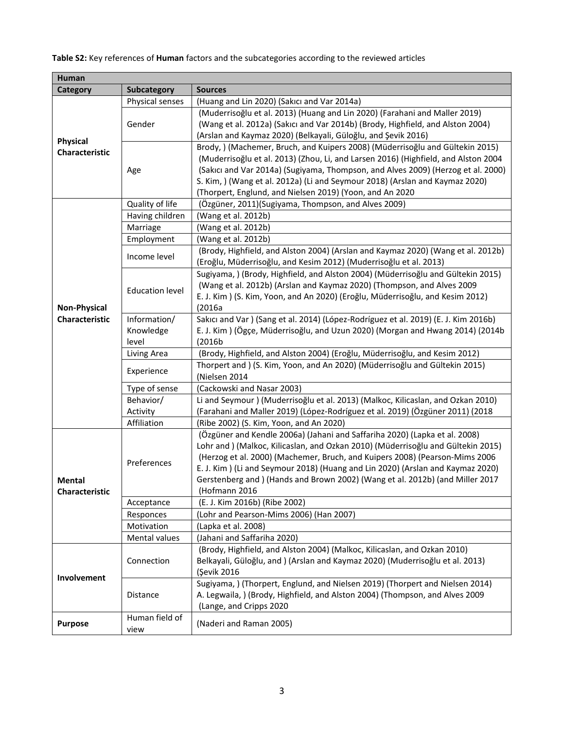**Table S2:** Key references of **Human** factors and the subcategories according to the reviewed articles

| <b>Human</b>        |                         |                                                                                                                                                       |
|---------------------|-------------------------|-------------------------------------------------------------------------------------------------------------------------------------------------------|
| <b>Category</b>     | <b>Subcategory</b>      | <b>Sources</b>                                                                                                                                        |
|                     | Physical senses         | (Huang and Lin 2020) (Sakıcı and Var 2014a)                                                                                                           |
|                     |                         | (Muderrisoğlu et al. 2013) (Huang and Lin 2020) (Farahani and Maller 2019)                                                                            |
|                     | Gender                  | (Wang et al. 2012a) (Sakıcı and Var 2014b) (Brody, Highfield, and Alston 2004)                                                                        |
| <b>Physical</b>     |                         | (Arslan and Kaymaz 2020) (Belkayali, Güloğlu, and Şevik 2016)                                                                                         |
| Characteristic      |                         | Brody, ) (Machemer, Bruch, and Kuipers 2008) (Müderrisoğlu and Gültekin 2015)                                                                         |
|                     |                         | (Muderrisoğlu et al. 2013) (Zhou, Li, and Larsen 2016) (Highfield, and Alston 2004                                                                    |
|                     | Age                     | (Sakıcı and Var 2014a) (Sugiyama, Thompson, and Alves 2009) (Herzog et al. 2000)                                                                      |
|                     |                         | S. Kim, ) (Wang et al. 2012a) (Li and Seymour 2018) (Arslan and Kaymaz 2020)                                                                          |
|                     |                         | (Thorpert, Englund, and Nielsen 2019) (Yoon, and An 2020                                                                                              |
|                     | Quality of life         | (Özgüner, 2011)(Sugiyama, Thompson, and Alves 2009)                                                                                                   |
|                     | Having children         | (Wang et al. 2012b)                                                                                                                                   |
|                     | Marriage                | (Wang et al. 2012b)                                                                                                                                   |
|                     | Employment              | (Wang et al. 2012b)                                                                                                                                   |
|                     | Income level            | (Brody, Highfield, and Alston 2004) (Arslan and Kaymaz 2020) (Wang et al. 2012b)<br>(Eroğlu, Müderrisoğlu, and Kesim 2012) (Muderrisoğlu et al. 2013) |
|                     |                         | Sugiyama, ) (Brody, Highfield, and Alston 2004) (Müderrisoğlu and Gültekin 2015)                                                                      |
|                     | <b>Education level</b>  | (Wang et al. 2012b) (Arslan and Kaymaz 2020) (Thompson, and Alves 2009                                                                                |
|                     |                         | E. J. Kim ) (S. Kim, Yoon, and An 2020) (Eroğlu, Müderrisoğlu, and Kesim 2012)                                                                        |
| <b>Non-Physical</b> |                         | (2016a                                                                                                                                                |
| Characteristic      | Information/            | Sakıcı and Var ) (Sang et al. 2014) (López-Rodríguez et al. 2019) (E. J. Kim 2016b)                                                                   |
|                     | Knowledge               | E. J. Kim) (Ögçe, Müderrisoğlu, and Uzun 2020) (Morgan and Hwang 2014) (2014b                                                                         |
|                     | level                   | (2016b)                                                                                                                                               |
|                     | Living Area             | (Brody, Highfield, and Alston 2004) (Eroğlu, Müderrisoğlu, and Kesim 2012)                                                                            |
|                     | Experience              | Thorpert and ) (S. Kim, Yoon, and An 2020) (Müderrisoğlu and Gültekin 2015)<br>(Nielsen 2014                                                          |
|                     | Type of sense           | (Cackowski and Nasar 2003)                                                                                                                            |
|                     | Behavior/               | Li and Seymour ) (Muderrisoğlu et al. 2013) (Malkoc, Kilicaslan, and Ozkan 2010)                                                                      |
|                     | Activity                | (Farahani and Maller 2019) (López-Rodríguez et al. 2019) (Özgüner 2011) (2018                                                                         |
|                     | Affiliation             | (Ribe 2002) (S. Kim, Yoon, and An 2020)                                                                                                               |
|                     | Preferences             | (Özgüner and Kendle 2006a) (Jahani and Saffariha 2020) (Lapka et al. 2008)                                                                            |
|                     |                         | Lohr and ) (Malkoc, Kilicaslan, and Ozkan 2010) (Müderrisoğlu and Gültekin 2015)                                                                      |
|                     |                         | (Herzog et al. 2000) (Machemer, Bruch, and Kuipers 2008) (Pearson-Mims 2006                                                                           |
|                     |                         | E. J. Kim ) (Li and Seymour 2018) (Huang and Lin 2020) (Arslan and Kaymaz 2020)                                                                       |
| Mental              |                         | Gerstenberg and ) (Hands and Brown 2002) (Wang et al. 2012b) (and Miller 2017                                                                         |
| Characteristic      |                         | (Hofmann 2016                                                                                                                                         |
|                     | Acceptance              | (E. J. Kim 2016b) (Ribe 2002)<br>(Lohr and Pearson-Mims 2006) (Han 2007)                                                                              |
|                     | Responces<br>Motivation | (Lapka et al. 2008)                                                                                                                                   |
|                     | Mental values           | (Jahani and Saffariha 2020)                                                                                                                           |
|                     |                         | (Brody, Highfield, and Alston 2004) (Malkoc, Kilicaslan, and Ozkan 2010)                                                                              |
|                     | Connection              | Belkayali, Güloğlu, and ) (Arslan and Kaymaz 2020) (Muderrisoğlu et al. 2013)                                                                         |
|                     |                         | (Şevik 2016                                                                                                                                           |
| Involvement         | <b>Distance</b>         | Sugiyama, ) (Thorpert, Englund, and Nielsen 2019) (Thorpert and Nielsen 2014)                                                                         |
|                     |                         | A. Legwaila, ) (Brody, Highfield, and Alston 2004) (Thompson, and Alves 2009                                                                          |
|                     |                         | (Lange, and Cripps 2020                                                                                                                               |
|                     | Human field of          |                                                                                                                                                       |
| <b>Purpose</b>      | view                    | (Naderi and Raman 2005)                                                                                                                               |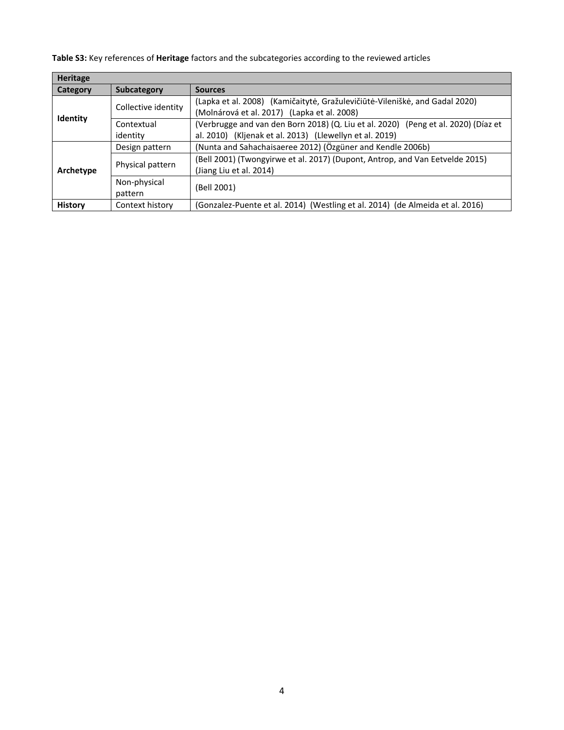**Table S3:** Key references of **Heritage** factors and the subcategories according to the reviewed articles

| <b>Heritage</b> |                         |                                                                                                                                               |  |  |
|-----------------|-------------------------|-----------------------------------------------------------------------------------------------------------------------------------------------|--|--|
| <b>Category</b> | <b>Subcategory</b>      | <b>Sources</b>                                                                                                                                |  |  |
| <b>Identity</b> | Collective identity     | (Lapka et al. 2008) (Kamičaitytė, Gražulevičiūtė-Vileniškė, and Gadal 2020)<br>(Molnárová et al. 2017) (Lapka et al. 2008)                    |  |  |
|                 | Contextual<br>identity  | (Verbrugge and van den Born 2018) (Q. Liu et al. 2020) (Peng et al. 2020) (Díaz et<br>al. 2010) (Kljenak et al. 2013) (Llewellyn et al. 2019) |  |  |
| Archetype       | Design pattern          | (Nunta and Sahachaisaeree 2012) (Özgüner and Kendle 2006b)                                                                                    |  |  |
|                 | Physical pattern        | (Bell 2001) (Twongyirwe et al. 2017) (Dupont, Antrop, and Van Eetvelde 2015)<br>(Jiang Liu et al. 2014)                                       |  |  |
|                 | Non-physical<br>pattern | (Bell 2001)                                                                                                                                   |  |  |
| <b>History</b>  | Context history         | (Gonzalez-Puente et al. 2014) (Westling et al. 2014) (de Almeida et al. 2016)                                                                 |  |  |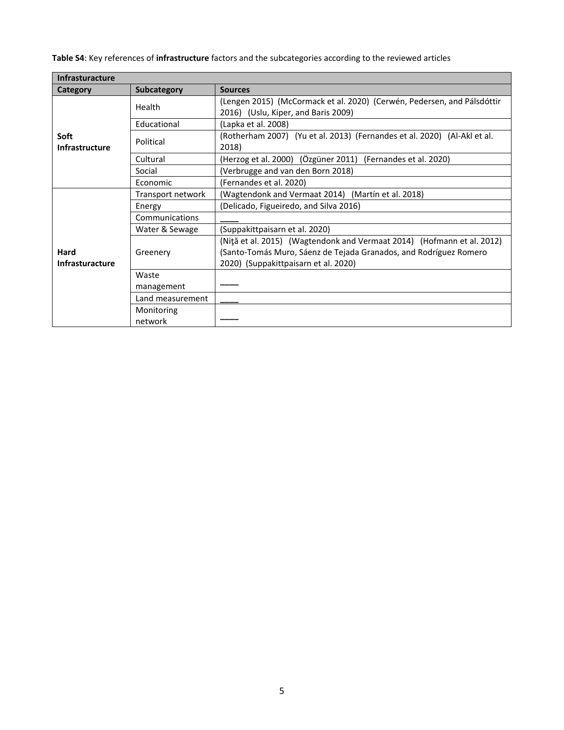**Table S4**: Key references of **infrastructure** factors and the subcategories according to the reviewed articles

| <b>Infrasturacture</b>         |                   |                                                                                                                                                                                     |  |  |
|--------------------------------|-------------------|-------------------------------------------------------------------------------------------------------------------------------------------------------------------------------------|--|--|
| Category                       | Subcategory       | <b>Sources</b>                                                                                                                                                                      |  |  |
|                                | Health            | (Lengen 2015) (McCormack et al. 2020) (Cerwén, Pedersen, and Pálsdóttir<br>2016) (Uslu, Kiper, and Baris 2009)                                                                      |  |  |
|                                | Educational       | (Lapka et al. 2008)                                                                                                                                                                 |  |  |
| Soft<br>Infrastructure         | Political         | (Rotherham 2007) (Yu et al. 2013) (Fernandes et al. 2020) (Al-Akl et al.<br>2018)                                                                                                   |  |  |
|                                | Cultural          | (Herzog et al. 2000) (Özgüner 2011) (Fernandes et al. 2020)                                                                                                                         |  |  |
|                                | Social            | (Verbrugge and van den Born 2018)                                                                                                                                                   |  |  |
|                                | Economic          | (Fernandes et al. 2020)                                                                                                                                                             |  |  |
| Hard<br><b>Infrasturacture</b> | Transport network | (Wagtendonk and Vermaat 2014) (Martín et al. 2018)                                                                                                                                  |  |  |
|                                | Energy            | (Delicado, Figueiredo, and Silva 2016)                                                                                                                                              |  |  |
|                                | Communications    |                                                                                                                                                                                     |  |  |
|                                | Water & Sewage    | (Suppakittpaisarn et al. 2020)                                                                                                                                                      |  |  |
|                                | Greenery          | (Nită et al. 2015) (Wagtendonk and Vermaat 2014) (Hofmann et al. 2012)<br>(Santo-Tomás Muro, Sáenz de Tejada Granados, and Rodríguez Romero<br>2020) (Suppakittpaisarn et al. 2020) |  |  |
|                                | Waste             |                                                                                                                                                                                     |  |  |
|                                | management        |                                                                                                                                                                                     |  |  |
|                                | Land measurement  |                                                                                                                                                                                     |  |  |
|                                | Monitoring        |                                                                                                                                                                                     |  |  |
|                                | network           |                                                                                                                                                                                     |  |  |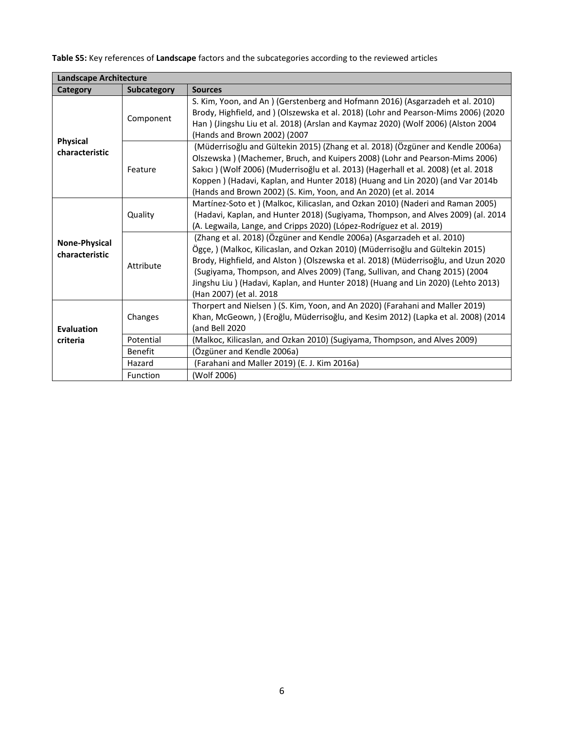**Table S5:** Key references of **Landscape** factors and the subcategories according to the reviewed articles

| <b>Landscape Architecture</b>          |                |                                                                                                                                                                                                                                                                                                                                                                                                                                               |  |  |
|----------------------------------------|----------------|-----------------------------------------------------------------------------------------------------------------------------------------------------------------------------------------------------------------------------------------------------------------------------------------------------------------------------------------------------------------------------------------------------------------------------------------------|--|--|
| Category                               | Subcategory    | <b>Sources</b>                                                                                                                                                                                                                                                                                                                                                                                                                                |  |  |
| <b>Physical</b><br>characteristic      | Component      | S. Kim, Yoon, and An ) (Gerstenberg and Hofmann 2016) (Asgarzadeh et al. 2010)<br>Brody, Highfield, and ) (Olszewska et al. 2018) (Lohr and Pearson-Mims 2006) (2020<br>Han) (Jingshu Liu et al. 2018) (Arslan and Kaymaz 2020) (Wolf 2006) (Alston 2004<br>(Hands and Brown 2002) (2007                                                                                                                                                      |  |  |
|                                        | Feature        | (Müderrisoğlu and Gültekin 2015) (Zhang et al. 2018) (Özgüner and Kendle 2006a)<br>Olszewska) (Machemer, Bruch, and Kuipers 2008) (Lohr and Pearson-Mims 2006)<br>Sakıcı) (Wolf 2006) (Muderrisoğlu et al. 2013) (Hagerhall et al. 2008) (et al. 2018<br>Koppen) (Hadavi, Kaplan, and Hunter 2018) (Huang and Lin 2020) (and Var 2014b<br>(Hands and Brown 2002) (S. Kim, Yoon, and An 2020) (et al. 2014                                     |  |  |
| <b>None-Physical</b><br>characteristic | Quality        | Martínez-Soto et ) (Malkoc, Kilicaslan, and Ozkan 2010) (Naderi and Raman 2005)<br>(Hadavi, Kaplan, and Hunter 2018) (Sugiyama, Thompson, and Alves 2009) (al. 2014<br>(A. Legwaila, Lange, and Cripps 2020) (López-Rodríguez et al. 2019)                                                                                                                                                                                                    |  |  |
|                                        | Attribute      | (Zhang et al. 2018) (Özgüner and Kendle 2006a) (Asgarzadeh et al. 2010)<br>Ögçe, ) (Malkoc, Kilicaslan, and Ozkan 2010) (Müderrisoğlu and Gültekin 2015)<br>Brody, Highfield, and Alston ) (Olszewska et al. 2018) (Müderrisoğlu, and Uzun 2020<br>(Sugiyama, Thompson, and Alves 2009) (Tang, Sullivan, and Chang 2015) (2004<br>Jingshu Liu) (Hadavi, Kaplan, and Hunter 2018) (Huang and Lin 2020) (Lehto 2013)<br>(Han 2007) (et al. 2018 |  |  |
| <b>Evaluation</b><br>criteria          | Changes        | Thorpert and Nielsen) (S. Kim, Yoon, and An 2020) (Farahani and Maller 2019)<br>Khan, McGeown, ) (Eroğlu, Müderrisoğlu, and Kesim 2012) (Lapka et al. 2008) (2014<br>(and Bell 2020                                                                                                                                                                                                                                                           |  |  |
|                                        | Potential      | (Malkoc, Kilicaslan, and Ozkan 2010) (Sugiyama, Thompson, and Alves 2009)                                                                                                                                                                                                                                                                                                                                                                     |  |  |
|                                        | <b>Benefit</b> | (Özgüner and Kendle 2006a)                                                                                                                                                                                                                                                                                                                                                                                                                    |  |  |
|                                        | Hazard         | (Farahani and Maller 2019) (E. J. Kim 2016a)                                                                                                                                                                                                                                                                                                                                                                                                  |  |  |
|                                        | Function       | (Wolf 2006)                                                                                                                                                                                                                                                                                                                                                                                                                                   |  |  |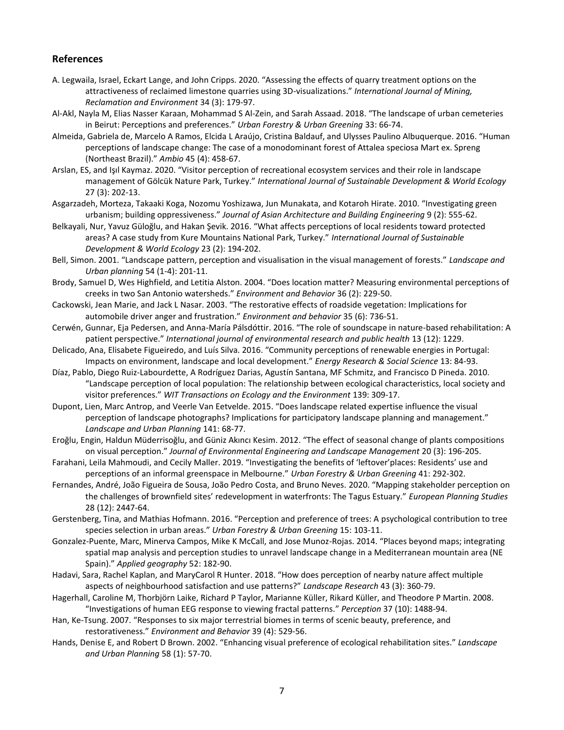## **References**

- A. Legwaila, Israel, Eckart Lange, and John Cripps. 2020. "Assessing the effects of quarry treatment options on the attractiveness of reclaimed limestone quarries using 3D-visualizations." *International Journal of Mining, Reclamation and Environment* 34 (3): 179-97.
- Al-Akl, Nayla M, Elias Nasser Karaan, Mohammad S Al-Zein, and Sarah Assaad. 2018. "The landscape of urban cemeteries in Beirut: Perceptions and preferences." *Urban Forestry & Urban Greening* 33: 66-74.
- Almeida, Gabriela de, Marcelo A Ramos, Elcida L Araújo, Cristina Baldauf, and Ulysses Paulino Albuquerque. 2016. "Human perceptions of landscape change: The case of a monodominant forest of Attalea speciosa Mart ex. Spreng (Northeast Brazil)." *Ambio* 45 (4): 458-67.
- Arslan, ES, and Işıl Kaymaz. 2020. "Visitor perception of recreational ecosystem services and their role in landscape management of Gölcük Nature Park, Turkey." *International Journal of Sustainable Development & World Ecology* 27 (3): 202-13.
- Asgarzadeh, Morteza, Takaaki Koga, Nozomu Yoshizawa, Jun Munakata, and Kotaroh Hirate. 2010. "Investigating green urbanism; building oppressiveness." *Journal of Asian Architecture and Building Engineering* 9 (2): 555-62.
- Belkayali, Nur, Yavuz Güloğlu, and Hakan Şevik. 2016. "What affects perceptions of local residents toward protected areas? A case study from Kure Mountains National Park, Turkey." *International Journal of Sustainable Development & World Ecology* 23 (2): 194-202.
- Bell, Simon. 2001. "Landscape pattern, perception and visualisation in the visual management of forests." *Landscape and Urban planning* 54 (1-4): 201-11.
- Brody, Samuel D, Wes Highfield, and Letitia Alston. 2004. "Does location matter? Measuring environmental perceptions of creeks in two San Antonio watersheds." *Environment and Behavior* 36 (2): 229-50.
- Cackowski, Jean Marie, and Jack L Nasar. 2003. "The restorative effects of roadside vegetation: Implications for automobile driver anger and frustration." *Environment and behavior* 35 (6): 736-51.
- Cerwén, Gunnar, Eja Pedersen, and Anna-María Pálsdóttir. 2016. "The role of soundscape in nature-based rehabilitation: A patient perspective." *International journal of environmental research and public health* 13 (12): 1229.
- Delicado, Ana, Elisabete Figueiredo, and Luís Silva. 2016. "Community perceptions of renewable energies in Portugal: Impacts on environment, landscape and local development." *Energy Research & Social Science* 13: 84-93.
- Díaz, Pablo, Diego Ruiz-Labourdette, A Rodríguez Darias, Agustín Santana, MF Schmitz, and Francisco D Pineda. 2010. "Landscape perception of local population: The relationship between ecological characteristics, local society and visitor preferences." *WIT Transactions on Ecology and the Environment* 139: 309-17.
- Dupont, Lien, Marc Antrop, and Veerle Van Eetvelde. 2015. "Does landscape related expertise influence the visual perception of landscape photographs? Implications for participatory landscape planning and management." *Landscape and Urban Planning* 141: 68-77.
- Eroğlu, Engin, Haldun Müderrisoğlu, and Güniz Akıncı Kesim. 2012. "The effect of seasonal change of plants compositions on visual perception." *Journal of Environmental Engineering and Landscape Management* 20 (3): 196-205.
- Farahani, Leila Mahmoudi, and Cecily Maller. 2019. "Investigating the benefits of 'leftover'places: Residents' use and perceptions of an informal greenspace in Melbourne." *Urban Forestry & Urban Greening* 41: 292-302.
- Fernandes, André, João Figueira de Sousa, João Pedro Costa, and Bruno Neves. 2020. "Mapping stakeholder perception on the challenges of brownfield sites' redevelopment in waterfronts: The Tagus Estuary." *European Planning Studies* 28 (12): 2447-64.
- Gerstenberg, Tina, and Mathias Hofmann. 2016. "Perception and preference of trees: A psychological contribution to tree species selection in urban areas." *Urban Forestry & Urban Greening* 15: 103-11.
- Gonzalez-Puente, Marc, Minerva Campos, Mike K McCall, and Jose Munoz-Rojas. 2014. "Places beyond maps; integrating spatial map analysis and perception studies to unravel landscape change in a Mediterranean mountain area (NE Spain)." *Applied geography* 52: 182-90.
- Hadavi, Sara, Rachel Kaplan, and MaryCarol R Hunter. 2018. "How does perception of nearby nature affect multiple aspects of neighbourhood satisfaction and use patterns?" *Landscape Research* 43 (3): 360-79.
- Hagerhall, Caroline M, Thorbjörn Laike, Richard P Taylor, Marianne Küller, Rikard Küller, and Theodore P Martin. 2008. "Investigations of human EEG response to viewing fractal patterns." *Perception* 37 (10): 1488-94.
- Han, Ke-Tsung. 2007. "Responses to six major terrestrial biomes in terms of scenic beauty, preference, and restorativeness." *Environment and Behavior* 39 (4): 529-56.
- Hands, Denise E, and Robert D Brown. 2002. "Enhancing visual preference of ecological rehabilitation sites." *Landscape and Urban Planning* 58 (1): 57-70.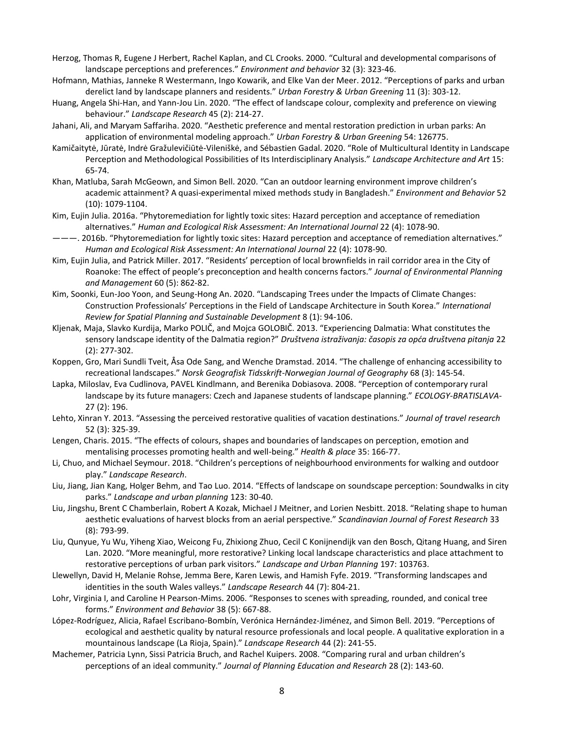- Herzog, Thomas R, Eugene J Herbert, Rachel Kaplan, and CL Crooks. 2000. "Cultural and developmental comparisons of landscape perceptions and preferences." *Environment and behavior* 32 (3): 323-46.
- Hofmann, Mathias, Janneke R Westermann, Ingo Kowarik, and Elke Van der Meer. 2012. "Perceptions of parks and urban derelict land by landscape planners and residents." *Urban Forestry & Urban Greening* 11 (3): 303-12.
- Huang, Angela Shi-Han, and Yann-Jou Lin. 2020. "The effect of landscape colour, complexity and preference on viewing behaviour." *Landscape Research* 45 (2): 214-27.
- Jahani, Ali, and Maryam Saffariha. 2020. "Aesthetic preference and mental restoration prediction in urban parks: An application of environmental modeling approach." *Urban Forestry & Urban Greening* 54: 126775.
- Kamičaitytė, Jūratė, Indrė Gražulevičiūtė-Vileniškė, and Sébastien Gadal. 2020. "Role of Multicultural Identity in Landscape Perception and Methodological Possibilities of Its Interdisciplinary Analysis." *Landscape Architecture and Art* 15: 65-74.
- Khan, Matluba, Sarah McGeown, and Simon Bell. 2020. "Can an outdoor learning environment improve children's academic attainment? A quasi-experimental mixed methods study in Bangladesh." *Environment and Behavior* 52 (10): 1079-1104.
- Kim, Eujin Julia. 2016a. "Phytoremediation for lightly toxic sites: Hazard perception and acceptance of remediation alternatives." *Human and Ecological Risk Assessment: An International Journal* 22 (4): 1078-90.
- ———. 2016b. "Phytoremediation for lightly toxic sites: Hazard perception and acceptance of remediation alternatives." *Human and Ecological Risk Assessment: An International Journal* 22 (4): 1078-90.
- Kim, Eujin Julia, and Patrick Miller. 2017. "Residents' perception of local brownfields in rail corridor area in the City of Roanoke: The effect of people's preconception and health concerns factors." *Journal of Environmental Planning and Management* 60 (5): 862-82.
- Kim, Soonki, Eun-Joo Yoon, and Seung-Hong An. 2020. "Landscaping Trees under the Impacts of Climate Changes: Construction Professionals' Perceptions in the Field of Landscape Architecture in South Korea." *International Review for Spatial Planning and Sustainable Development* 8 (1): 94-106.
- Kljenak, Maja, Slavko Kurdija, Marko POLIČ, and Mojca GOLOBIČ. 2013. "Experiencing Dalmatia: What constitutes the sensory landscape identity of the Dalmatia region?" *Društvena istraživanja: časopis za opća društvena pitanja* 22 (2): 277-302.
- Koppen, Gro, Mari Sundli Tveit, Åsa Ode Sang, and Wenche Dramstad. 2014. "The challenge of enhancing accessibility to recreational landscapes." *Norsk Geografisk Tidsskrift-Norwegian Journal of Geography* 68 (3): 145-54.
- Lapka, Miloslav, Eva Cudlinova, PAVEL Kindlmann, and Berenika Dobiasova. 2008. "Perception of contemporary rural landscape by its future managers: Czech and Japanese students of landscape planning." *ECOLOGY-BRATISLAVA-*27 (2): 196.
- Lehto, Xinran Y. 2013. "Assessing the perceived restorative qualities of vacation destinations." *Journal of travel research* 52 (3): 325-39.
- Lengen, Charis. 2015. "The effects of colours, shapes and boundaries of landscapes on perception, emotion and mentalising processes promoting health and well-being." *Health & place* 35: 166-77.
- Li, Chuo, and Michael Seymour. 2018. "Children's perceptions of neighbourhood environments for walking and outdoor play." *Landscape Research*.
- Liu, Jiang, Jian Kang, Holger Behm, and Tao Luo. 2014. "Effects of landscape on soundscape perception: Soundwalks in city parks." *Landscape and urban planning* 123: 30-40.
- Liu, Jingshu, Brent C Chamberlain, Robert A Kozak, Michael J Meitner, and Lorien Nesbitt. 2018. "Relating shape to human aesthetic evaluations of harvest blocks from an aerial perspective." *Scandinavian Journal of Forest Research* 33 (8): 793-99.
- Liu, Qunyue, Yu Wu, Yiheng Xiao, Weicong Fu, Zhixiong Zhuo, Cecil C Konijnendijk van den Bosch, Qitang Huang, and Siren Lan. 2020. "More meaningful, more restorative? Linking local landscape characteristics and place attachment to restorative perceptions of urban park visitors." *Landscape and Urban Planning* 197: 103763.
- Llewellyn, David H, Melanie Rohse, Jemma Bere, Karen Lewis, and Hamish Fyfe. 2019. "Transforming landscapes and identities in the south Wales valleys." *Landscape Research* 44 (7): 804-21.
- Lohr, Virginia I, and Caroline H Pearson-Mims. 2006. "Responses to scenes with spreading, rounded, and conical tree forms." *Environment and Behavior* 38 (5): 667-88.
- López-Rodríguez, Alicia, Rafael Escribano-Bombín, Verónica Hernández-Jiménez, and Simon Bell. 2019. "Perceptions of ecological and aesthetic quality by natural resource professionals and local people. A qualitative exploration in a mountainous landscape (La Rioja, Spain)." *Landscape Research* 44 (2): 241-55.
- Machemer, Patricia Lynn, Sissi Patricia Bruch, and Rachel Kuipers. 2008. "Comparing rural and urban children's perceptions of an ideal community." *Journal of Planning Education and Research* 28 (2): 143-60.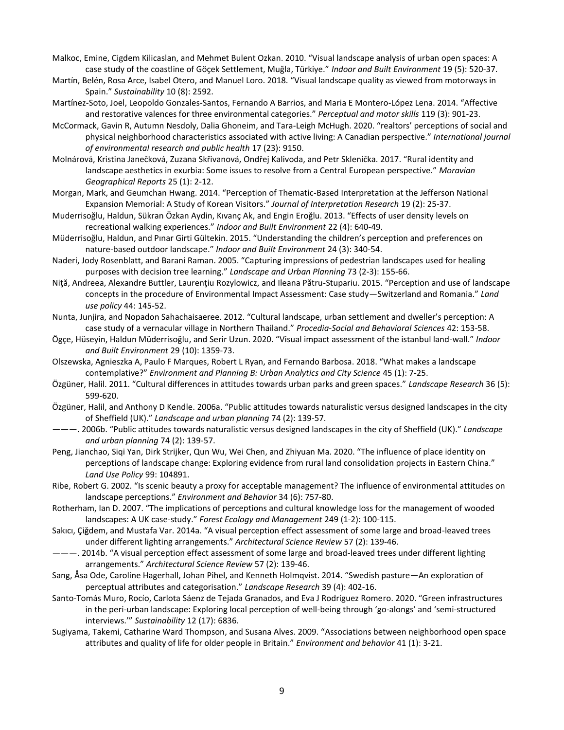- Malkoc, Emine, Cigdem Kilicaslan, and Mehmet Bulent Ozkan. 2010. "Visual landscape analysis of urban open spaces: A case study of the coastline of Göçek Settlement, Muğla, Türkiye." *Indoor and Built Environment* 19 (5): 520-37.
- Martín, Belén, Rosa Arce, Isabel Otero, and Manuel Loro. 2018. "Visual landscape quality as viewed from motorways in Spain." *Sustainability* 10 (8): 2592.
- Martínez-Soto, Joel, Leopoldo Gonzales-Santos, Fernando A Barrios, and Maria E Montero-López Lena. 2014. "Affective and restorative valences for three environmental categories." *Perceptual and motor skills* 119 (3): 901-23.
- McCormack, Gavin R, Autumn Nesdoly, Dalia Ghoneim, and Tara-Leigh McHugh. 2020. "realtors' perceptions of social and physical neighborhood characteristics associated with active living: A Canadian perspective." *International journal of environmental research and public health* 17 (23): 9150.
- Molnárová, Kristina Janečková, Zuzana Skřivanová, Ondřej Kalivoda, and Petr Sklenička. 2017. "Rural identity and landscape aesthetics in exurbia: Some issues to resolve from a Central European perspective." *Moravian Geographical Reports* 25 (1): 2-12.
- Morgan, Mark, and Geumchan Hwang. 2014. "Perception of Thematic-Based Interpretation at the Jefferson National Expansion Memorial: A Study of Korean Visitors." *Journal of Interpretation Research* 19 (2): 25-37.
- Muderrisoğlu, Haldun, Sükran Özkan Aydin, Kıvanç Ak, and Engin Eroğlu. 2013. "Effects of user density levels on recreational walking experiences." *Indoor and Built Environment* 22 (4): 640-49.
- Müderrisoğlu, Haldun, and Pınar Girti Gültekin. 2015. "Understanding the children's perception and preferences on nature-based outdoor landscape." *Indoor and Built Environment* 24 (3): 340-54.
- Naderi, Jody Rosenblatt, and Barani Raman. 2005. "Capturing impressions of pedestrian landscapes used for healing purposes with decision tree learning." *Landscape and Urban Planning* 73 (2-3): 155-66.
- Niţă, Andreea, Alexandre Buttler, Laurenţiu Rozylowicz, and Ileana Pătru-Stupariu. 2015. "Perception and use of landscape concepts in the procedure of Environmental Impact Assessment: Case study—Switzerland and Romania." *Land use policy* 44: 145-52.
- Nunta, Junjira, and Nopadon Sahachaisaeree. 2012. "Cultural landscape, urban settlement and dweller's perception: A case study of a vernacular village in Northern Thailand." *Procedia-Social and Behavioral Sciences* 42: 153-58.
- Ögçe, Hüseyin, Haldun Müderrisoğlu, and Serir Uzun. 2020. "Visual impact assessment of the istanbul land-wall." *Indoor and Built Environment* 29 (10): 1359-73.
- Olszewska, Agnieszka A, Paulo F Marques, Robert L Ryan, and Fernando Barbosa. 2018. "What makes a landscape contemplative?" *Environment and Planning B: Urban Analytics and City Science* 45 (1): 7-25.
- Özgüner, Halil. 2011. "Cultural differences in attitudes towards urban parks and green spaces." *Landscape Research* 36 (5): 599-620.
- Özgüner, Halil, and Anthony D Kendle. 2006a. "Public attitudes towards naturalistic versus designed landscapes in the city of Sheffield (UK)." *Landscape and urban planning* 74 (2): 139-57.
- ———. 2006b. "Public attitudes towards naturalistic versus designed landscapes in the city of Sheffield (UK)." *Landscape and urban planning* 74 (2): 139-57.
- Peng, Jianchao, Siqi Yan, Dirk Strijker, Qun Wu, Wei Chen, and Zhiyuan Ma. 2020. "The influence of place identity on perceptions of landscape change: Exploring evidence from rural land consolidation projects in Eastern China." *Land Use Policy* 99: 104891.
- Ribe, Robert G. 2002. "Is scenic beauty a proxy for acceptable management? The influence of environmental attitudes on landscape perceptions." *Environment and Behavior* 34 (6): 757-80.
- Rotherham, Ian D. 2007. "The implications of perceptions and cultural knowledge loss for the management of wooded landscapes: A UK case-study." *Forest Ecology and Management* 249 (1-2): 100-115.
- Sakıcı, Çiǧdem, and Mustafa Var. 2014a. "A visual perception effect assessment of some large and broad-leaved trees under different lighting arrangements." *Architectural Science Review* 57 (2): 139-46.
- ———. 2014b. "A visual perception effect assessment of some large and broad-leaved trees under different lighting arrangements." *Architectural Science Review* 57 (2): 139-46.
- Sang, Åsa Ode, Caroline Hagerhall, Johan Pihel, and Kenneth Holmqvist. 2014. "Swedish pasture—An exploration of perceptual attributes and categorisation." *Landscape Research* 39 (4): 402-16.
- Santo-Tomás Muro, Rocío, Carlota Sáenz de Tejada Granados, and Eva J Rodríguez Romero. 2020. "Green infrastructures in the peri-urban landscape: Exploring local perception of well-being through 'go-alongs' and 'semi-structured interviews.'" *Sustainability* 12 (17): 6836.
- Sugiyama, Takemi, Catharine Ward Thompson, and Susana Alves. 2009. "Associations between neighborhood open space attributes and quality of life for older people in Britain." *Environment and behavior* 41 (1): 3-21.